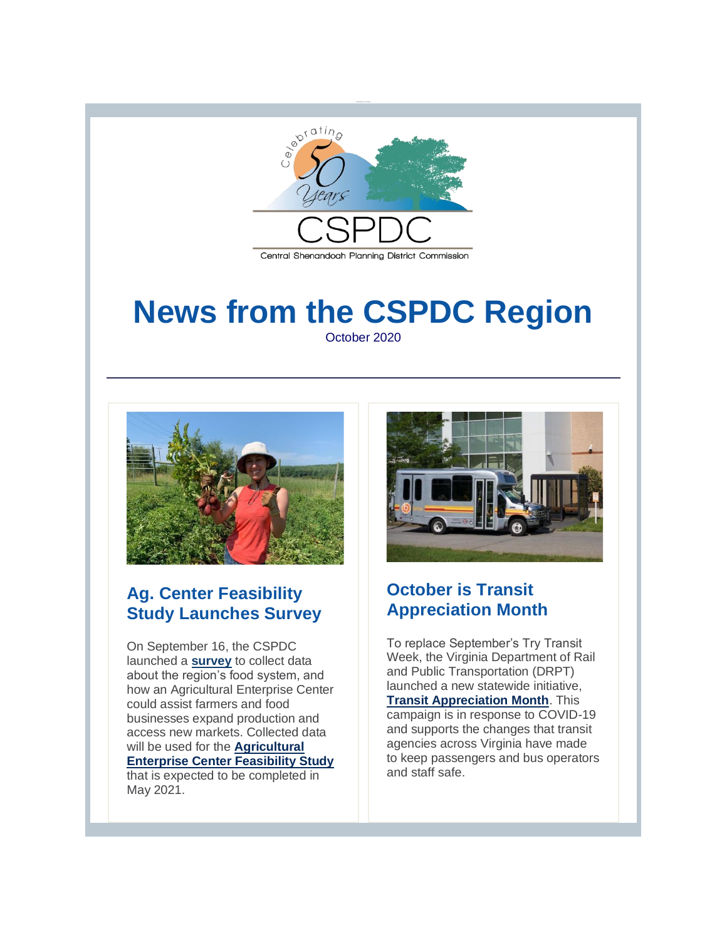

### Central Shenandoah Planning District Commission

# **News from the CSPDC Region** October 2020



### **Ag. Center Feasibility Study Launches Survey**

On September 16, the CSPDC launched a **[survey](http://r20.rs6.net/tn.jsp?f=001CPsVqaJGJmLh5xZHMmi_okFhFXzDJfFS5WVUP7vbE8ooJbpyFFQD8Oohscl05mLC8x563XGAGWSuyngfIrnF1xduuDzBKE4u-7miA1uqHyFW3gDN6NlEHIa6nzy1n35JcFtoLcx2lBSYQxxLhweQSjZDhqDxIeTPBO0nTLpitLs=&c=iaf2UIRMhg0YttrZAGVVt31DxBNS0Kv5l1J15nNVkusfPdsfW-6Ntg==&ch=gDFcU8Kegbti3hrQpK44e8bPVRJemA5vXn2I8HtXFIP-l3sYipqpyg==)** to collect data about the region's food system, and how an Agricultural Enterprise Center could assist farmers and food businesses expand production and access new markets. Collected data will be used for the **[Agricultural](http://r20.rs6.net/tn.jsp?f=001CPsVqaJGJmLh5xZHMmi_okFhFXzDJfFS5WVUP7vbE8ooJbpyFFQD8GWdAXyOoT1cwUrHhjftXlcP0wVnx57K9GU5PZvrr463GokxDilE8HOcmNeK6IFPh-fEEI0tX0AhTB3MoFUFHHlVuWxasW5sfw==&c=iaf2UIRMhg0YttrZAGVVt31DxBNS0Kv5l1J15nNVkusfPdsfW-6Ntg==&ch=gDFcU8Kegbti3hrQpK44e8bPVRJemA5vXn2I8HtXFIP-l3sYipqpyg==)  [Enterprise Center Feasibility Study](http://r20.rs6.net/tn.jsp?f=001CPsVqaJGJmLh5xZHMmi_okFhFXzDJfFS5WVUP7vbE8ooJbpyFFQD8GWdAXyOoT1cwUrHhjftXlcP0wVnx57K9GU5PZvrr463GokxDilE8HOcmNeK6IFPh-fEEI0tX0AhTB3MoFUFHHlVuWxasW5sfw==&c=iaf2UIRMhg0YttrZAGVVt31DxBNS0Kv5l1J15nNVkusfPdsfW-6Ntg==&ch=gDFcU8Kegbti3hrQpK44e8bPVRJemA5vXn2I8HtXFIP-l3sYipqpyg==)** that is expected to be completed in May 2021.



### **October is Transit Appreciation Month**

To replace September's Try Transit Week, the Virginia Department of Rail and Public Transportation (DRPT) launched a new statewide initiative, **[Transit Appreciation Month](http://r20.rs6.net/tn.jsp?f=001CPsVqaJGJmLh5xZHMmi_okFhFXzDJfFS5WVUP7vbE8ooJbpyFFQD8CXnMNKwFHNQswoKUgh8EgPonFkdSAIEta8qVlQdTtWAUbwxGYaYPAW7HSPv1QE6bfoQ8xhqS7gVCDMB74fnChj8bc4h_FmUIg==&c=iaf2UIRMhg0YttrZAGVVt31DxBNS0Kv5l1J15nNVkusfPdsfW-6Ntg==&ch=gDFcU8Kegbti3hrQpK44e8bPVRJemA5vXn2I8HtXFIP-l3sYipqpyg==)**. This campaign is in response to COVID-19 and supports the changes that transit agencies across Virginia have made to keep passengers and bus operators and staff safe.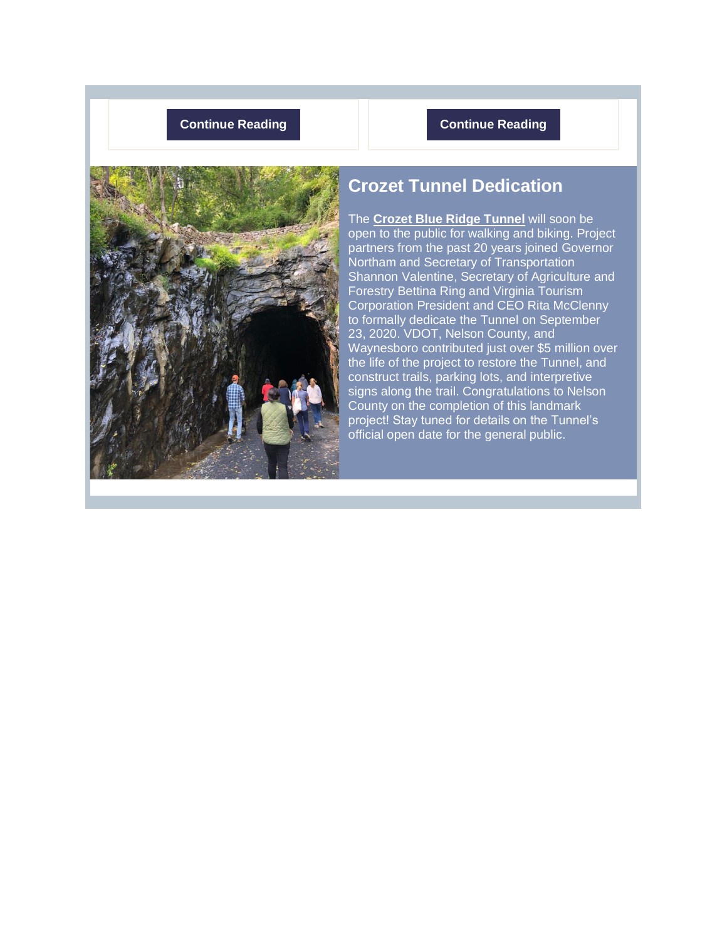### **[Continue Reading](http://r20.rs6.net/tn.jsp?f=001CPsVqaJGJmLh5xZHMmi_okFhFXzDJfFS5WVUP7vbE8ooJbpyFFQD8Bgnqsk5WrsPo5NelU6hyS6Q2QQLD4HL3VpmC3wkAWZym7X_7FbZWjLfrsyOrrq4LFZVItNFhpAXeJxcJLT_wQEkGipXqGH7VuLzaRbg7E2d3CjZ9TDbQDUw8aOpLmfmeiiOv04TDXuB2D_ssDhs38M8SxaMgic6OpOYwHwVX2AY&c=iaf2UIRMhg0YttrZAGVVt31DxBNS0Kv5l1J15nNVkusfPdsfW-6Ntg==&ch=gDFcU8Kegbti3hrQpK44e8bPVRJemA5vXn2I8HtXFIP-l3sYipqpyg==) <b>Continue Reading**



### **Crozet Tunnel Dedication**

The **[Crozet Blue Ridge Tunnel](http://r20.rs6.net/tn.jsp?f=001CPsVqaJGJmLh5xZHMmi_okFhFXzDJfFS5WVUP7vbE8ooJbpyFFQD8BVuVIUJkm_GsaJOMtGHYM56DA8beL9ixIXqPQXcWrptLbOo02mOMdi8pj2cFb8wGZ6DRlU513icrjQZn0xUzL6YOKRMwsBWCg==&c=iaf2UIRMhg0YttrZAGVVt31DxBNS0Kv5l1J15nNVkusfPdsfW-6Ntg==&ch=gDFcU8Kegbti3hrQpK44e8bPVRJemA5vXn2I8HtXFIP-l3sYipqpyg==)** will soon be open to the public for walking and biking. Project partners from the past 20 years joined Governor Northam and Secretary of Transportation Shannon Valentine, Secretary of Agriculture and Forestry Bettina Ring and Virginia Tourism Corporation President and CEO Rita McClenny to formally dedicate the Tunnel on September 23, 2020. VDOT, Nelson County, and Waynesboro contributed just over \$5 million over the life of the project to restore the Tunnel, and construct trails, parking lots, and interpretive signs along the trail. Congratulations to Nelson County on the completion of this landmark project! Stay tuned for details on the Tunnel's official open date for the general public.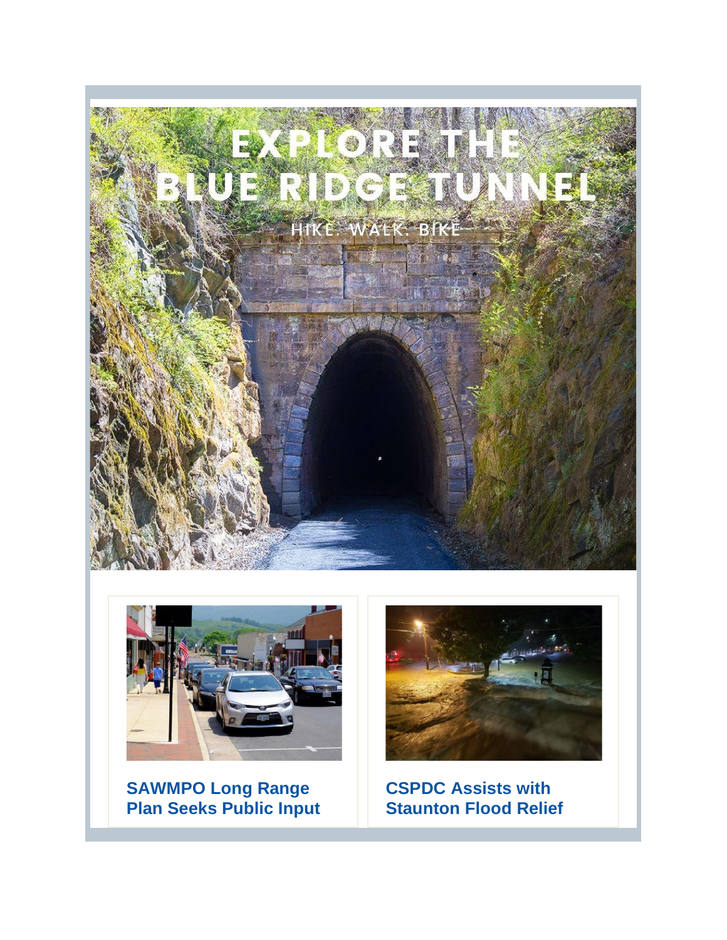



**SAWMPO Long Range Plan Seeks Public Input**



**CSPDC Assists with Staunton Flood Relief**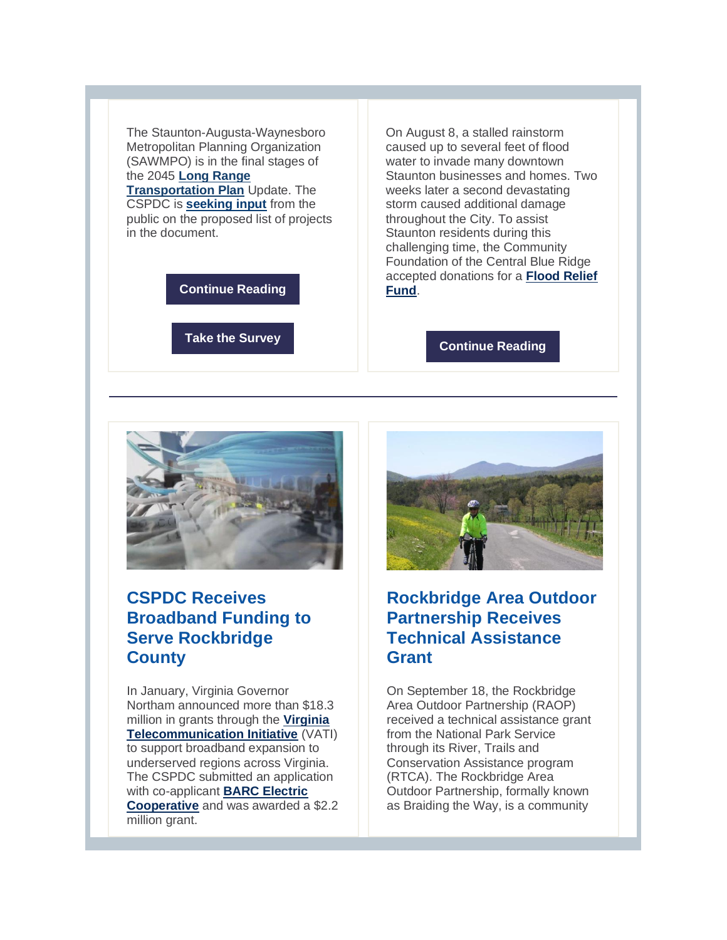The Staunton-Augusta-Waynesboro Metropolitan Planning Organization (SAWMPO) is in the final stages of the 2045 **[Long Range](http://r20.rs6.net/tn.jsp?f=001CPsVqaJGJmLh5xZHMmi_okFhFXzDJfFS5WVUP7vbE8ooJbpyFFQD8Bgnqsk5WrsPoCX1EKo9gKDE5n3M6VR8up_GKrxndwd-ffGqaI4x_jJOshGUpTzPZfU9L5phWjuQ7ytiMAHPBHl7ySL7NSnCFaIVWjp40EDh&c=iaf2UIRMhg0YttrZAGVVt31DxBNS0Kv5l1J15nNVkusfPdsfW-6Ntg==&ch=gDFcU8Kegbti3hrQpK44e8bPVRJemA5vXn2I8HtXFIP-l3sYipqpyg==)** 

**[Transportation Plan](http://r20.rs6.net/tn.jsp?f=001CPsVqaJGJmLh5xZHMmi_okFhFXzDJfFS5WVUP7vbE8ooJbpyFFQD8Bgnqsk5WrsPoCX1EKo9gKDE5n3M6VR8up_GKrxndwd-ffGqaI4x_jJOshGUpTzPZfU9L5phWjuQ7ytiMAHPBHl7ySL7NSnCFaIVWjp40EDh&c=iaf2UIRMhg0YttrZAGVVt31DxBNS0Kv5l1J15nNVkusfPdsfW-6Ntg==&ch=gDFcU8Kegbti3hrQpK44e8bPVRJemA5vXn2I8HtXFIP-l3sYipqpyg==)** Update. The CSPDC is **[seeking input](http://r20.rs6.net/tn.jsp?f=001CPsVqaJGJmLh5xZHMmi_okFhFXzDJfFS5WVUP7vbE8ooJbpyFFQD8Bgnqsk5WrsPvySBP_i1kwRBGIi5tSFvNx1fpYDgpOUIbck818EVhsb4mMpTfxT2qGNjLbB6Lr-y9Ycwl-0b_OA=&c=iaf2UIRMhg0YttrZAGVVt31DxBNS0Kv5l1J15nNVkusfPdsfW-6Ntg==&ch=gDFcU8Kegbti3hrQpK44e8bPVRJemA5vXn2I8HtXFIP-l3sYipqpyg==)** from the public on the proposed list of projects in the document.

**[Continue Reading](http://r20.rs6.net/tn.jsp?f=001CPsVqaJGJmLh5xZHMmi_okFhFXzDJfFS5WVUP7vbE8ooJbpyFFQD8Bgnqsk5WrsPoJXLAw_96dyCADIVyZO2A738beFdZ6Z7RQLOfIitdO1J180wG31G8rZ1SKY4PZCq5_J_ZrG5mWdW32a7tkLgVRJqSHpP3n24VgCavN95q5ahsVd8zU1-9v0c4NQX_ykgHYcFt5Czj1t0BTndI-nmYQ==&c=iaf2UIRMhg0YttrZAGVVt31DxBNS0Kv5l1J15nNVkusfPdsfW-6Ntg==&ch=gDFcU8Kegbti3hrQpK44e8bPVRJemA5vXn2I8HtXFIP-l3sYipqpyg==)**

**[Take the Survey](http://r20.rs6.net/tn.jsp?f=001CPsVqaJGJmLh5xZHMmi_okFhFXzDJfFS5WVUP7vbE8ooJbpyFFQD8Bgnqsk5WrsPvySBP_i1kwRBGIi5tSFvNx1fpYDgpOUIbck818EVhsb4mMpTfxT2qGNjLbB6Lr-y9Ycwl-0b_OA=&c=iaf2UIRMhg0YttrZAGVVt31DxBNS0Kv5l1J15nNVkusfPdsfW-6Ntg==&ch=gDFcU8Kegbti3hrQpK44e8bPVRJemA5vXn2I8HtXFIP-l3sYipqpyg==)**

On August 8, a stalled rainstorm caused up to several feet of flood water to invade many downtown Staunton businesses and homes. Two weeks later a second devastating storm caused additional damage throughout the City. To assist Staunton residents during this challenging time, the Community Foundation of the Central Blue Ridge accepted donations for a **[Flood Relief](http://r20.rs6.net/tn.jsp?f=001CPsVqaJGJmLh5xZHMmi_okFhFXzDJfFS5WVUP7vbE8ooJbpyFFQD8Bgnqsk5WrsPFvzT8SZm9E3S7OpVFmocs4Lu41VQwGbPBjpMzXeRfGhsDhb_4AzgOi7Eq2mop1BtQ0BSvjsS9Vnr-QpwUkWVWGPKo2zdCsGrArGZO9Eg1wwcIamsR-iAiHQR19IabwfBz_uwW2lJBN6OOqvNJzClolMvVE8bikh6s_-v9-s1vdI=&c=iaf2UIRMhg0YttrZAGVVt31DxBNS0Kv5l1J15nNVkusfPdsfW-6Ntg==&ch=gDFcU8Kegbti3hrQpK44e8bPVRJemA5vXn2I8HtXFIP-l3sYipqpyg==)  [Fund](http://r20.rs6.net/tn.jsp?f=001CPsVqaJGJmLh5xZHMmi_okFhFXzDJfFS5WVUP7vbE8ooJbpyFFQD8Bgnqsk5WrsPFvzT8SZm9E3S7OpVFmocs4Lu41VQwGbPBjpMzXeRfGhsDhb_4AzgOi7Eq2mop1BtQ0BSvjsS9Vnr-QpwUkWVWGPKo2zdCsGrArGZO9Eg1wwcIamsR-iAiHQR19IabwfBz_uwW2lJBN6OOqvNJzClolMvVE8bikh6s_-v9-s1vdI=&c=iaf2UIRMhg0YttrZAGVVt31DxBNS0Kv5l1J15nNVkusfPdsfW-6Ntg==&ch=gDFcU8Kegbti3hrQpK44e8bPVRJemA5vXn2I8HtXFIP-l3sYipqpyg==)**.

**[Continue Reading](http://r20.rs6.net/tn.jsp?f=001CPsVqaJGJmLh5xZHMmi_okFhFXzDJfFS5WVUP7vbE8ooJbpyFFQD8Bgnqsk5WrsPwHnHna1NoEGwmp5xKkdJacXDJbI6w1XFX93y4LT6np7VgF70QCqdDWjkqCraMYG6PoHqPFM-NuczJnLilkT1ULbZs7zaBXxTxbbsMgwLo9ZIP5WvFD_YKcru5eW9umhCGxqp3-aFnHASFHCAAnH-6fJxz-6Wu0mf&c=iaf2UIRMhg0YttrZAGVVt31DxBNS0Kv5l1J15nNVkusfPdsfW-6Ntg==&ch=gDFcU8Kegbti3hrQpK44e8bPVRJemA5vXn2I8HtXFIP-l3sYipqpyg==)**



## **CSPDC Receives Broadband Funding to Serve Rockbridge County**

In January, Virginia Governor Northam announced more than \$18.3 million in grants through the **[Virginia](http://r20.rs6.net/tn.jsp?f=001CPsVqaJGJmLh5xZHMmi_okFhFXzDJfFS5WVUP7vbE8ooJbpyFFQD8Bgnqsk5WrsP5AT46nrJJHmTBP2834iIZXZLciPay1vdnqdrR-bNyeQFpZ0l_KQ1ayO9KxFc8clbLQv67Csmo9F08rSipx5bShLDAtIMjEDF&c=iaf2UIRMhg0YttrZAGVVt31DxBNS0Kv5l1J15nNVkusfPdsfW-6Ntg==&ch=gDFcU8Kegbti3hrQpK44e8bPVRJemA5vXn2I8HtXFIP-l3sYipqpyg==)  [Telecommunication Initiative](http://r20.rs6.net/tn.jsp?f=001CPsVqaJGJmLh5xZHMmi_okFhFXzDJfFS5WVUP7vbE8ooJbpyFFQD8Bgnqsk5WrsP5AT46nrJJHmTBP2834iIZXZLciPay1vdnqdrR-bNyeQFpZ0l_KQ1ayO9KxFc8clbLQv67Csmo9F08rSipx5bShLDAtIMjEDF&c=iaf2UIRMhg0YttrZAGVVt31DxBNS0Kv5l1J15nNVkusfPdsfW-6Ntg==&ch=gDFcU8Kegbti3hrQpK44e8bPVRJemA5vXn2I8HtXFIP-l3sYipqpyg==)** (VATI) to support broadband expansion to underserved regions across Virginia. The CSPDC submitted an application with co-applicant **[BARC Electric](http://r20.rs6.net/tn.jsp?f=001CPsVqaJGJmLh5xZHMmi_okFhFXzDJfFS5WVUP7vbE8ooJbpyFFQD8J5m6ca3vQ-1DVLcJhY0ix1juGKGpuTDsmL59OSJtXsvr14U9--_8N-AyKlmuoEGn9LXs9pgE4-1aFiJTpaN2PSfQzEvCKF_wA==&c=iaf2UIRMhg0YttrZAGVVt31DxBNS0Kv5l1J15nNVkusfPdsfW-6Ntg==&ch=gDFcU8Kegbti3hrQpK44e8bPVRJemA5vXn2I8HtXFIP-l3sYipqpyg==)  [Cooperative](http://r20.rs6.net/tn.jsp?f=001CPsVqaJGJmLh5xZHMmi_okFhFXzDJfFS5WVUP7vbE8ooJbpyFFQD8J5m6ca3vQ-1DVLcJhY0ix1juGKGpuTDsmL59OSJtXsvr14U9--_8N-AyKlmuoEGn9LXs9pgE4-1aFiJTpaN2PSfQzEvCKF_wA==&c=iaf2UIRMhg0YttrZAGVVt31DxBNS0Kv5l1J15nNVkusfPdsfW-6Ntg==&ch=gDFcU8Kegbti3hrQpK44e8bPVRJemA5vXn2I8HtXFIP-l3sYipqpyg==)** and was awarded a \$2.2 million grant.



### **Rockbridge Area Outdoor Partnership Receives Technical Assistance Grant**

On September 18, the Rockbridge Area Outdoor Partnership (RAOP) received a technical assistance grant from the National Park Service through its River, Trails and Conservation Assistance program (RTCA). The Rockbridge Area Outdoor Partnership, formally known as Braiding the Way, is a community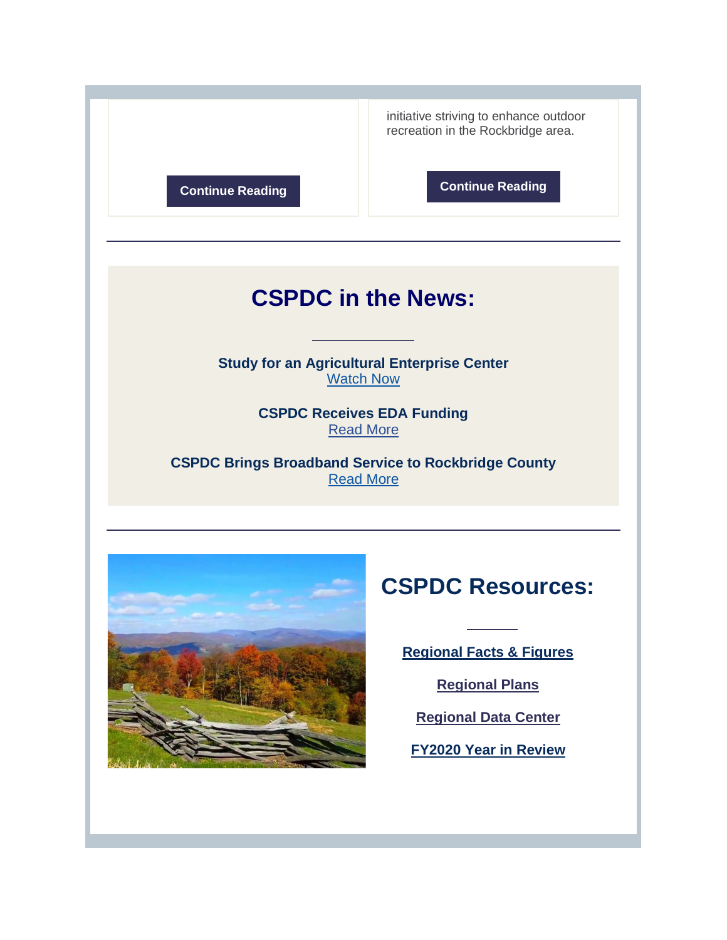